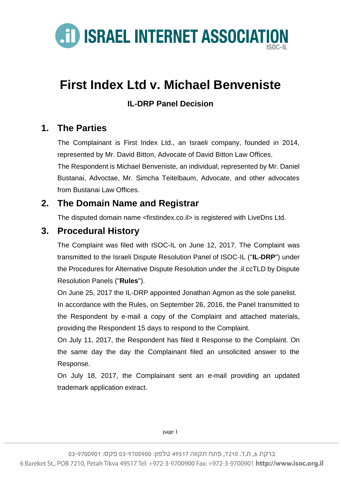

# **First Index Ltd v. Michael Benveniste**

#### **IL-DRP Panel Decision**

### **1. The Parties**

The Complainant is First Index Ltd., an Israeli company, founded in 2014, represented by Mr. David Bitton, Advocate of David Bitton Law Offices. The Respondent is Michael Benveniste, an individual, represented by Mr. Daniel Bustanai, Advoctae, Mr. Simcha Teitelbaum, Advocate, and other advocates from Bustanai Law Offices

### **2. The Domain Name and Registrar**

The disputed domain name <firstindex.co.il> is registered with LiveDns Ltd.

### **3. Procedural History**

The Complaint was filed with ISOC-IL on June 12, 2017. The Complaint was transmitted to the Israeli Dispute Resolution Panel of ISOC-IL ("**IL-DRP**") under the Procedures for Alternative Dispute Resolution under the .il ccTLD by Dispute Resolution Panels ("**Rules**").

On June 25, 2017 the IL-DRP appointed Jonathan Agmon as the sole panelist. In accordance with the Rules, on September 26, 2016, the Panel transmitted to the Respondent by e-mail a copy of the Complaint and attached materials, providing the Respondent 15 days to respond to the Complaint.

On July 11, 2017, the Respondent has filed it Response to the Complaint. On the same day the day the Complainant filed an unsolicited answer to the Response.

On July 18, 2017, the Complainant sent an e-mail providing an updated trademark application extract.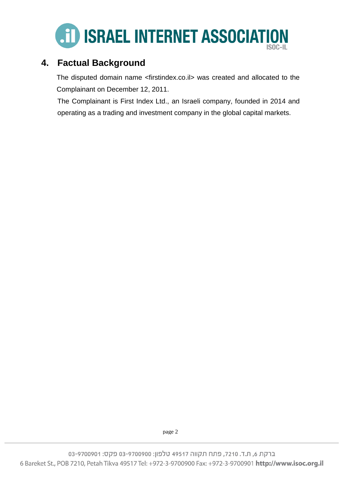

### **4. Factual Background**

The disputed domain name <firstindex.co.il> was created and allocated to the Complainant on December 12, 2011.

The Complainant is First Index Ltd., an Israeli company, founded in 2014 and operating as a trading and investment company in the global capital markets.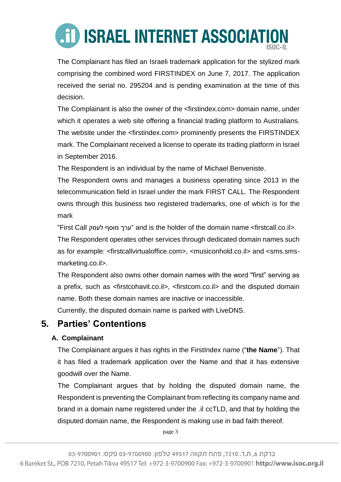The Complainant has filed an Israeli trademark application for the stylized mark comprising the combined word FIRSTINDEX on June 7, 2017. The application received the serial no. 295204 and is pending examination at the time of this decision.

The Complainant is also the owner of the <firstindex.com> domain name, under which it operates a web site offering a financial trading platform to Australians. The website under the <firstindex.com> prominently presents the FIRSTINDEX mark. The Complainant received a license to operate its trading platform in Israel in September 2016.

The Respondent is an individual by the name of Michael Benveniste.

The Respondent owns and manages a business operating since 2013 in the telecommunication field in Israel under the mark FIRST CALL. The Respondent owns through this business two registered trademarks, one of which is for the mark

"First Call לעסק מוסף ערך "and is the holder of the domain name <firstcall.co.il>.

The Respondent operates other services through dedicated domain names such as for example: <firstcallvirtualoffice.com>, <musiconhold.co.il> and <sms.smsmarketing.co.il>.

The Respondent also owns other domain names with the word "first" serving as a prefix, such as <firstcohavit.co.il>, <firstcom.co.il> and the disputed domain name. Both these domain names are inactive or inaccessible.

Currently, the disputed domain name is parked with LiveDNS.

### **5. Parties' Contentions**

#### **A. Complainant**

The Complainant argues it has rights in the FirstIndex name ("**the Name**"). That it has filed a trademark application over the Name and that it has extensive goodwill over the Name.

The Complainant argues that by holding the disputed domain name, the Respondent is preventing the Complainant from reflecting its company name and brand in a domain name registered under the .il ccTLD, and that by holding the disputed domain name, the Respondent is making use in bad faith thereof.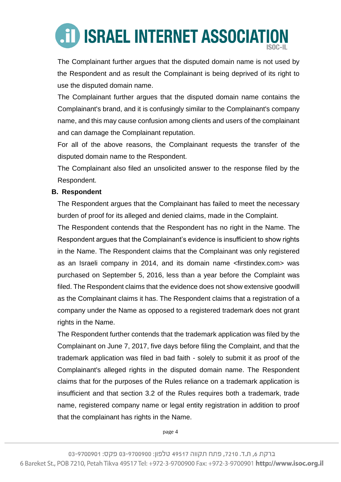The Complainant further argues that the disputed domain name is not used by the Respondent and as result the Complainant is being deprived of its right to use the disputed domain name.

The Complainant further argues that the disputed domain name contains the Complainant's brand, and it is confusingly similar to the Complainant's company name, and this may cause confusion among clients and users of the complainant and can damage the Complainant reputation.

For all of the above reasons, the Complainant requests the transfer of the disputed domain name to the Respondent.

The Complainant also filed an unsolicited answer to the response filed by the Respondent.

#### **B. Respondent**

The Respondent argues that the Complainant has failed to meet the necessary burden of proof for its alleged and denied claims, made in the Complaint.

The Respondent contends that the Respondent has no right in the Name. The Respondent argues that the Complainant's evidence is insufficient to show rights in the Name. The Respondent claims that the Complainant was only registered as an Israeli company in 2014, and its domain name <firstindex.com> was purchased on September 5, 2016, less than a year before the Complaint was filed. The Respondent claims that the evidence does not show extensive goodwill as the Complainant claims it has. The Respondent claims that a registration of a company under the Name as opposed to a registered trademark does not grant rights in the Name.

The Respondent further contends that the trademark application was filed by the Complainant on June 7, 2017, five days before filing the Complaint, and that the trademark application was filed in bad faith - solely to submit it as proof of the Complainant's alleged rights in the disputed domain name. The Respondent claims that for the purposes of the Rules reliance on a trademark application is insufficient and that section 3.2 of the Rules requires both a trademark, trade name, registered company name or legal entity registration in addition to proof that the complainant has rights in the Name.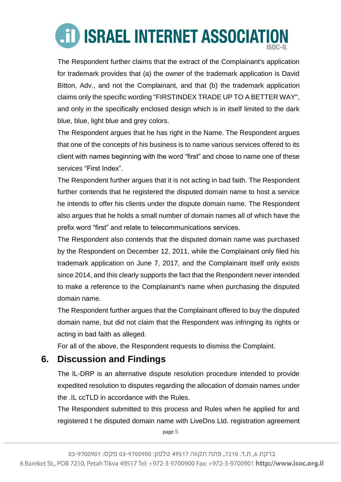The Respondent further claims that the extract of the Complainant's application for trademark provides that (a) the owner of the trademark application is David Bitton, Adv., and not the Complainant, and that (b) the trademark application claims only the specific wording "FIRSTINDEX TRADE UP TO A BETTER WAY", and only in the specifically enclosed design which is in itself limited to the dark blue, blue, light blue and grey colors.

The Respondent argues that he has right in the Name. The Respondent argues that one of the concepts of his business is to name various services offered to its client with names beginning with the word "first" and chose to name one of these services "First Index".

The Respondent further argues that it is not acting in bad faith. The Respondent further contends that he registered the disputed domain name to host a service he intends to offer his clients under the dispute domain name. The Respondent also argues that he holds a small number of domain names all of which have the prefix word "first" and relate to telecommunications services.

The Respondent also contends that the disputed domain name was purchased by the Respondent on December 12, 2011, while the Complainant only filed his trademark application on June 7, 2017, and the Complainant itself only exists since 2014, and this clearly supports the fact that the Respondent never intended to make a reference to the Complainant's name when purchasing the disputed domain name.

The Respondent further argues that the Complainant offered to buy the disputed domain name, but did not claim that the Respondent was infringing its rights or acting in bad faith as alleged.

For all of the above, the Respondent requests to dismiss the Complaint.

## **6. Discussion and Findings**

The IL-DRP is an alternative dispute resolution procedure intended to provide expedited resolution to disputes regarding the allocation of domain names under the .IL ccTLD in accordance with the Rules.

The Respondent submitted to this process and Rules when he applied for and registered t he disputed domain name with LiveDns Ltd. registration agreement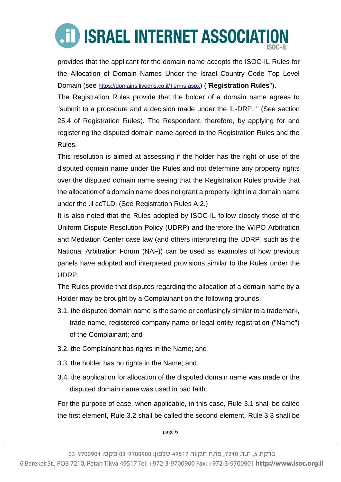# **AID ISRAEL INTERNET ASSOCIATION**

provides that the applicant for the domain name accepts the ISOC-IL Rules for the Allocation of Domain Names Under the Israel Country Code Top Level Domain (see <https://domains.livedns.co.il/Terms.aspx>) ("**Registration Rules**").

The Registration Rules provide that the holder of a domain name agrees to "submit to a procedure and a decision made under the IL-DRP. " (See section 25.4 of Registration Rules). The Respondent, therefore, by applying for and registering the disputed domain name agreed to the Registration Rules and the Rules.

This resolution is aimed at assessing if the holder has the right of use of the disputed domain name under the Rules and not determine any property rights over the disputed domain name seeing that the Registration Rules provide that the allocation of a domain name does not grant a property right in a domain name under the .il ccTLD. (See Registration Rules A.2.)

It is also noted that the Rules adopted by ISOC-IL follow closely those of the Uniform Dispute Resolution Policy (UDRP) and therefore the WIPO Arbitration and Mediation Center case law (and others interpreting the UDRP, such as the National Arbitration Forum (NAF)) can be used as examples of how previous panels have adopted and interpreted provisions similar to the Rules under the UDRP.

The Rules provide that disputes regarding the allocation of a domain name by a Holder may be brought by a Complainant on the following grounds:

- 3.1. the disputed domain name is the same or confusingly similar to a trademark, trade name, registered company name or legal entity registration ("Name") of the Complainant; and
- 3.2. the Complainant has rights in the Name; and
- 3.3. the holder has no rights in the Name; and
- 3.4. the application for allocation of the disputed domain name was made or the disputed domain name was used in bad faith.

For the purpose of ease, when applicable, in this case, Rule 3.1 shall be called the first element, Rule 3.2 shall be called the second element, Rule 3.3 shall be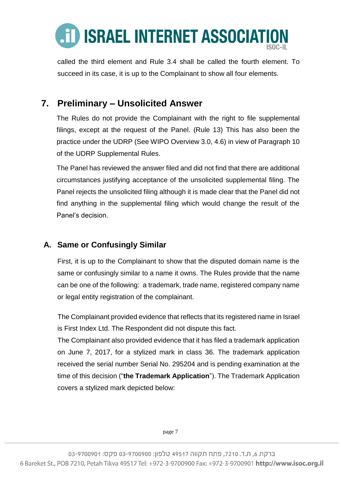

called the third element and Rule 3.4 shall be called the fourth element. To succeed in its case, it is up to the Complainant to show all four elements.

### **7. Preliminary – Unsolicited Answer**

The Rules do not provide the Complainant with the right to file supplemental filings, except at the request of the Panel. (Rule 13) This has also been the practice under the UDRP (See WIPO Overview 3.0, 4.6) in view of Paragraph 10 of the UDRP Supplemental Rules.

The Panel has reviewed the answer filed and did not find that there are additional circumstances justifying acceptance of the unsolicited supplemental filing. The Panel rejects the unsolicited filing although it is made clear that the Panel did not find anything in the supplemental filing which would change the result of the Panel's decision.

#### **A. Same or Confusingly Similar**

First, it is up to the Complainant to show that the disputed domain name is the same or confusingly similar to a name it owns. The Rules provide that the name can be one of the following: a trademark, trade name, registered company name or legal entity registration of the complainant.

The Complainant provided evidence that reflects that its registered name in Israel is First Index Ltd. The Respondent did not dispute this fact.

The Complainant also provided evidence that it has filed a trademark application on June 7, 2017, for a stylized mark in class 36. The trademark application received the serial number Serial No. 295204 and is pending examination at the time of this decision ("**the Trademark Application**"). The Trademark Application covers a stylized mark depicted below: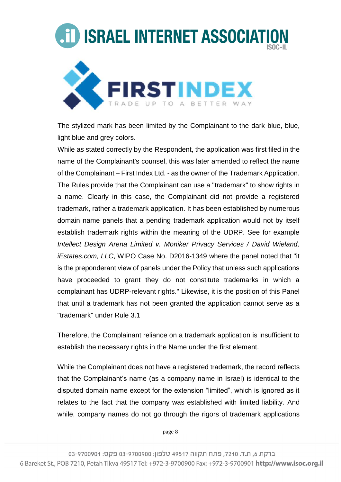

The stylized mark has been limited by the Complainant to the dark blue, blue, light blue and grey colors.

While as stated correctly by the Respondent, the application was first filed in the name of the Complainant's counsel, this was later amended to reflect the name of the Complainant – First Index Ltd. - as the owner of the Trademark Application. The Rules provide that the Complainant can use a "trademark" to show rights in a name. Clearly in this case, the Complainant did not provide a registered trademark, rather a trademark application. It has been established by numerous domain name panels that a pending trademark application would not by itself establish trademark rights within the meaning of the UDRP. See for example *Intellect Design Arena Limited v. Moniker Privacy Services / David Wieland, iEstates.com, LLC*, WIPO Case No. [D2016-1349](http://www.wipo.int/amc/en/domains/search/text.jsp?case=D2016-1349) where the panel noted that "it is the preponderant view of panels under the Policy that unless such applications have proceeded to grant they do not constitute trademarks in which a complainant has UDRP-relevant rights." Likewise, it is the position of this Panel that until a trademark has not been granted the application cannot serve as a "trademark" under Rule 3.1

Therefore, the Complainant reliance on a trademark application is insufficient to establish the necessary rights in the Name under the first element.

While the Complainant does not have a registered trademark, the record reflects that the Complainant's name (as a company name in Israel) is identical to the disputed domain name except for the extension "limited", which is ignored as it relates to the fact that the company was established with limited liability. And while, company names do not go through the rigors of trademark applications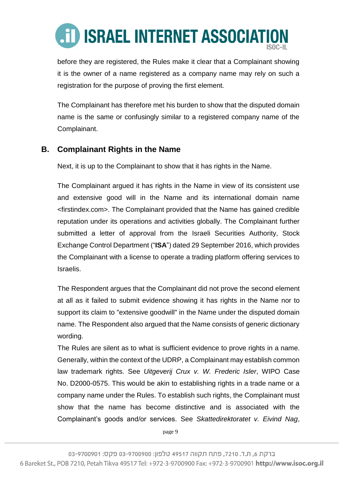

before they are registered, the Rules make it clear that a Complainant showing it is the owner of a name registered as a company name may rely on such a registration for the purpose of proving the first element.

The Complainant has therefore met his burden to show that the disputed domain name is the same or confusingly similar to a registered company name of the Complainant.

#### **B. Complainant Rights in the Name**

Next, it is up to the Complainant to show that it has rights in the Name.

The Complainant argued it has rights in the Name in view of its consistent use and extensive good will in the Name and its international domain name <firstindex.com>. The Complainant provided that the Name has gained credible reputation under its operations and activities globally. The Complainant further submitted a letter of approval from the Israeli Securities Authority, Stock Exchange Control Department ("**ISA**") dated 29 September 2016, which provides the Complainant with a license to operate a trading platform offering services to Israelis.

The Respondent argues that the Complainant did not prove the second element at all as it failed to submit evidence showing it has rights in the Name nor to support its claim to "extensive goodwill" in the Name under the disputed domain name. The Respondent also argued that the Name consists of generic dictionary wording.

The Rules are silent as to what is sufficient evidence to prove rights in a name. Generally, within the context of the UDRP, a Complainant may establish common law trademark rights. See *Uitgeverij Crux v. W. Frederic Isler*, WIPO Case No. D2000-0575. This would be akin to establishing rights in a trade name or a company name under the Rules. To establish such rights, the Complainant must show that the name has become distinctive and is associated with the Complainant's goods and/or services. See *Skattedirektoratet v. Eivind Nag*,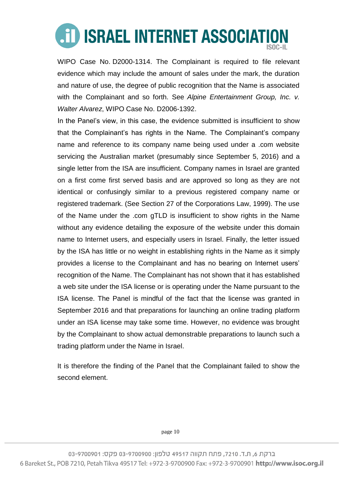WIPO Case No. D2000-1314. The Complainant is required to file relevant evidence which may include the amount of sales under the mark, the duration and nature of use, the degree of public recognition that the Name is associated with the Complainant and so forth. See *Alpine Entertainment Group, Inc. v. Walter Alvarez*, WIPO Case No. D2006-1392.

In the Panel's view, in this case, the evidence submitted is insufficient to show that the Complainant's has rights in the Name. The Complainant's company name and reference to its company name being used under a .com website servicing the Australian market (presumably since September 5, 2016) and a single letter from the ISA are insufficient. Company names in Israel are granted on a first come first served basis and are approved so long as they are not identical or confusingly similar to a previous registered company name or registered trademark. (See Section 27 of the Corporations Law, 1999). The use of the Name under the .com gTLD is insufficient to show rights in the Name without any evidence detailing the exposure of the website under this domain name to Internet users, and especially users in Israel. Finally, the letter issued by the ISA has little or no weight in establishing rights in the Name as it simply provides a license to the Complainant and has no bearing on Internet users' recognition of the Name. The Complainant has not shown that it has established a web site under the ISA license or is operating under the Name pursuant to the ISA license. The Panel is mindful of the fact that the license was granted in September 2016 and that preparations for launching an online trading platform under an ISA license may take some time. However, no evidence was brought by the Complainant to show actual demonstrable preparations to launch such a trading platform under the Name in Israel.

It is therefore the finding of the Panel that the Complainant failed to show the second element.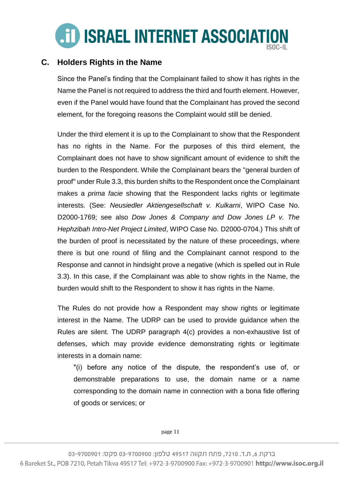

#### **C. Holders Rights in the Name**

Since the Panel's finding that the Complainant failed to show it has rights in the Name the Panel is not required to address the third and fourth element. However, even if the Panel would have found that the Complainant has proved the second element, for the foregoing reasons the Complaint would still be denied.

Under the third element it is up to the Complainant to show that the Respondent has no rights in the Name. For the purposes of this third element, the Complainant does not have to show significant amount of evidence to shift the burden to the Respondent. While the Complainant bears the "general burden of proof" under Rule 3.3, this burden shifts to the Respondent once the Complainant makes a *prima facie* showing that the Respondent lacks rights or legitimate interests. (See: *Neusiedler Aktiengesellschaft v. Kulkarni*, WIPO Case No. D2000-1769; see also *Dow Jones & Company and Dow Jones LP v. The Hephzibah Intro-Net Project Limited*, WIPO Case No. D2000-0704.) This shift of the burden of proof is necessitated by the nature of these proceedings, where there is but one round of filing and the Complainant cannot respond to the Response and cannot in hindsight prove a negative (which is spelled out in Rule 3.3). In this case, if the Complainant was able to show rights in the Name, the burden would shift to the Respondent to show it has rights in the Name.

The Rules do not provide how a Respondent may show rights or legitimate interest in the Name. The UDRP can be used to provide guidance when the Rules are silent. The UDRP paragraph 4(c) provides a non-exhaustive list of defenses, which may provide evidence demonstrating rights or legitimate interests in a domain name:

"(i) before any notice of the dispute, the respondent's use of, or demonstrable preparations to use, the domain name or a name corresponding to the domain name in connection with a bona fide offering of goods or services; or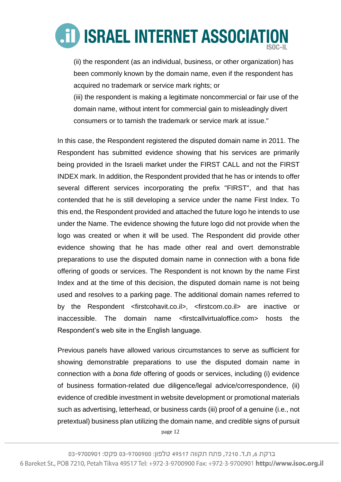

(ii) the respondent (as an individual, business, or other organization) has been commonly known by the domain name, even if the respondent has acquired no trademark or service mark rights; or

(iii) the respondent is making a legitimate noncommercial or fair use of the domain name, without intent for commercial gain to misleadingly divert consumers or to tarnish the trademark or service mark at issue."

In this case, the Respondent registered the disputed domain name in 2011. The Respondent has submitted evidence showing that his services are primarily being provided in the Israeli market under the FIRST CALL and not the FIRST INDEX mark. In addition, the Respondent provided that he has or intends to offer several different services incorporating the prefix "FIRST", and that has contended that he is still developing a service under the name First Index. To this end, the Respondent provided and attached the future logo he intends to use under the Name. The evidence showing the future logo did not provide when the logo was created or when it will be used. The Respondent did provide other evidence showing that he has made other real and overt demonstrable preparations to use the disputed domain name in connection with a bona fide offering of goods or services. The Respondent is not known by the name First Index and at the time of this decision, the disputed domain name is not being used and resolves to a parking page. The additional domain names referred to by the Respondent <firstcohavit.co.il>, <firstcom.co.il> are inactive or inaccessible. The domain name <firstcallvirtualoffice.com> hosts the Respondent's web site in the English language.

Previous panels have allowed various circumstances to serve as sufficient for showing demonstrable preparations to use the disputed domain name in connection with a *bona fide* offering of goods or services, including (i) evidence of business formation-related due diligence/legal advice/correspondence, (ii) evidence of credible investment in website development or promotional materials such as advertising, letterhead, or business cards (iii) proof of a genuine (i.e., not pretextual) business plan utilizing the domain name, and credible signs of pursuit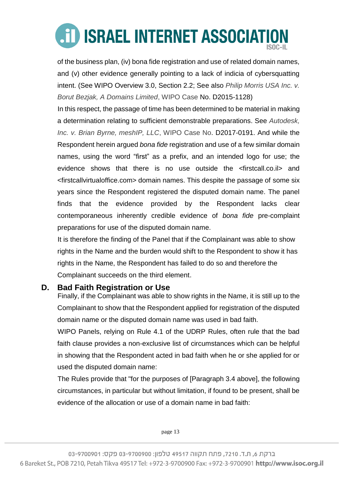of the business plan, (iv) bona fide registration and use of related domain names, and (v) other evidence generally pointing to a lack of indicia of cybersquatting intent. (See WIPO Overview 3.0, Section 2.2; See also *Philip Morris USA Inc. v. Borut Bezjak, A Domains Limited*, WIPO Case No. D2015-1128)

In this respect, the passage of time has been determined to be material in making a determination relating to sufficient demonstrable preparations. See *Autodesk, Inc. v. Brian Byrne, meshIP, LLC*, WIPO Case No. D2017-0191. And while the Respondent herein argued *bona fide* registration and use of a few similar domain names, using the word "first" as a prefix, and an intended logo for use; the evidence shows that there is no use outside the <firstcall.co.il> and <firstcallvirtualoffice.com> domain names. This despite the passage of some six years since the Respondent registered the disputed domain name. The panel finds that the evidence provided by the Respondent lacks clear contemporaneous inherently credible evidence of *bona fide* pre-complaint preparations for use of the disputed domain name.

It is therefore the finding of the Panel that if the Complainant was able to show rights in the Name and the burden would shift to the Respondent to show it has rights in the Name, the Respondent has failed to do so and therefore the Complainant succeeds on the third element.

#### **D. Bad Faith Registration or Use**

Finally, if the Complainant was able to show rights in the Name, it is still up to the Complainant to show that the Respondent applied for registration of the disputed domain name or the disputed domain name was used in bad faith.

WIPO Panels, relying on Rule 4.1 of the UDRP Rules, often rule that the bad faith clause provides a non-exclusive list of circumstances which can be helpful in showing that the Respondent acted in bad faith when he or she applied for or used the disputed domain name:

The Rules provide that "for the purposes of [Paragraph 3.4 above], the following circumstances, in particular but without limitation, if found to be present, shall be evidence of the allocation or use of a domain name in bad faith: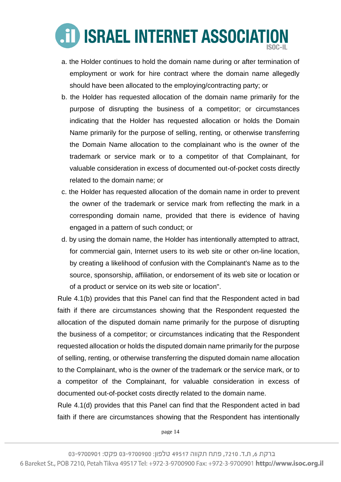

- a. the Holder continues to hold the domain name during or after termination of employment or work for hire contract where the domain name allegedly should have been allocated to the employing/contracting party; or
- b. the Holder has requested allocation of the domain name primarily for the purpose of disrupting the business of a competitor; or circumstances indicating that the Holder has requested allocation or holds the Domain Name primarily for the purpose of selling, renting, or otherwise transferring the Domain Name allocation to the complainant who is the owner of the trademark or service mark or to a competitor of that Complainant, for valuable consideration in excess of documented out-of-pocket costs directly related to the domain name; or
- c. the Holder has requested allocation of the domain name in order to prevent the owner of the trademark or service mark from reflecting the mark in a corresponding domain name, provided that there is evidence of having engaged in a pattern of such conduct; or
- d. by using the domain name, the Holder has intentionally attempted to attract, for commercial gain, Internet users to its web site or other on-line location, by creating a likelihood of confusion with the Complainant's Name as to the source, sponsorship, affiliation, or endorsement of its web site or location or of a product or service on its web site or location".

Rule 4.1(b) provides that this Panel can find that the Respondent acted in bad faith if there are circumstances showing that the Respondent requested the allocation of the disputed domain name primarily for the purpose of disrupting the business of a competitor; or circumstances indicating that the Respondent requested allocation or holds the disputed domain name primarily for the purpose of selling, renting, or otherwise transferring the disputed domain name allocation to the Complainant, who is the owner of the trademark or the service mark, or to a competitor of the Complainant, for valuable consideration in excess of documented out-of-pocket costs directly related to the domain name.

Rule 4.1(d) provides that this Panel can find that the Respondent acted in bad faith if there are circumstances showing that the Respondent has intentionally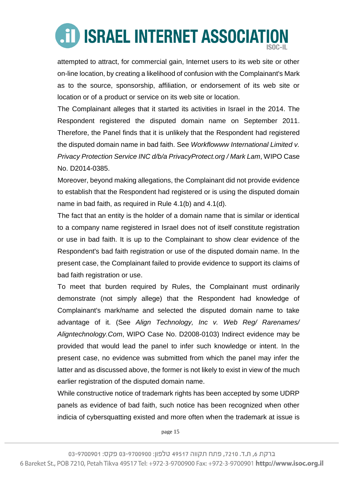attempted to attract, for commercial gain, Internet users to its web site or other on-line location, by creating a likelihood of confusion with the Complainant's Mark as to the source, sponsorship, affiliation, or endorsement of its web site or location or of a product or service on its web site or location.

The Complainant alleges that it started its activities in Israel in the 2014. The Respondent registered the disputed domain name on September 2011. Therefore, the Panel finds that it is unlikely that the Respondent had registered the disputed domain name in bad faith. See *Workflowww International Limited v. Privacy Protection Service INC d/b/a PrivacyProtect.org / Mark Lam*, WIPO Case No. D2014-0385.

Moreover, beyond making allegations, the Complainant did not provide evidence to establish that the Respondent had registered or is using the disputed domain name in bad faith, as required in Rule 4.1(b) and 4.1(d).

The fact that an entity is the holder of a domain name that is similar or identical to a company name registered in Israel does not of itself constitute registration or use in bad faith. It is up to the Complainant to show clear evidence of the Respondent's bad faith registration or use of the disputed domain name. In the present case, the Complainant failed to provide evidence to support its claims of bad faith registration or use.

To meet that burden required by Rules, the Complainant must ordinarily demonstrate (not simply allege) that the Respondent had knowledge of Complainant's mark/name and selected the disputed domain name to take advantage of it. (See *Align Technology, Inc v. Web Reg/ Rarenames/ Aligntechnology.Com*, WIPO Case No. D2008-0103) Indirect evidence may be provided that would lead the panel to infer such knowledge or intent. In the present case, no evidence was submitted from which the panel may infer the latter and as discussed above, the former is not likely to exist in view of the much earlier registration of the disputed domain name.

While constructive notice of trademark rights has been accepted by some UDRP panels as evidence of bad faith, such notice has been recognized when other indicia of cybersquatting existed and more often when the trademark at issue is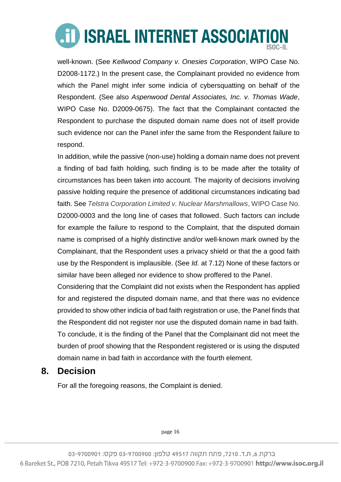well-known. (See *Kellwood Company v. Onesies Corporation*, WIPO Case No. D2008-1172.) In the present case, the Complainant provided no evidence from which the Panel might infer some indicia of cybersquatting on behalf of the Respondent. (See also *Aspenwood Dental Associates, Inc. v. Thomas Wade*, WIPO Case No. D2009-0675). The fact that the Complainant contacted the Respondent to purchase the disputed domain name does not of itself provide such evidence nor can the Panel infer the same from the Respondent failure to respond.

In addition, while the passive (non-use) holding a domain name does not prevent a finding of bad faith holding, such finding is to be made after the totality of circumstances has been taken into account. The majority of decisions involving passive holding require the presence of additional circumstances indicating bad faith. See *Telstra Corporation Limited v. Nuclear Marshmallows*, WIPO Case No. D2000-0003 and the long line of cases that followed. Such factors can include for example the failure to respond to the Complaint, that the disputed domain name is comprised of a highly distinctive and/or well-known mark owned by the Complainant, that the Respondent uses a privacy shield or that the a good faith use by the Respondent is implausible. (See *Id.* at 7.12) None of these factors or similar have been alleged nor evidence to show proffered to the Panel.

Considering that the Complaint did not exists when the Respondent has applied for and registered the disputed domain name, and that there was no evidence provided to show other indicia of bad faith registration or use, the Panel finds that the Respondent did not register nor use the disputed domain name in bad faith. To conclude, it is the finding of the Panel that the Complainant did not meet the burden of proof showing that the Respondent registered or is using the disputed domain name in bad faith in accordance with the fourth element.

### **8. Decision**

For all the foregoing reasons, the Complaint is denied.